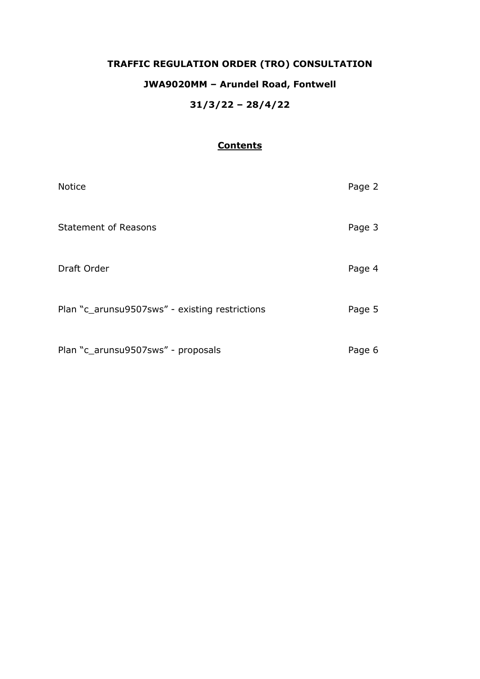# **TRAFFIC REGULATION ORDER (TRO) CONSULTATION**

## **JWA9020MM – Arundel Road, Fontwell**

## **31/3/22 – 28/4/22**

#### **Contents**

| <b>Notice</b>                                  | Page 2 |
|------------------------------------------------|--------|
| <b>Statement of Reasons</b>                    | Page 3 |
| Draft Order                                    | Page 4 |
| Plan "c_arunsu9507sws" - existing restrictions | Page 5 |
| Plan "c_arunsu9507sws" - proposals             | Page 6 |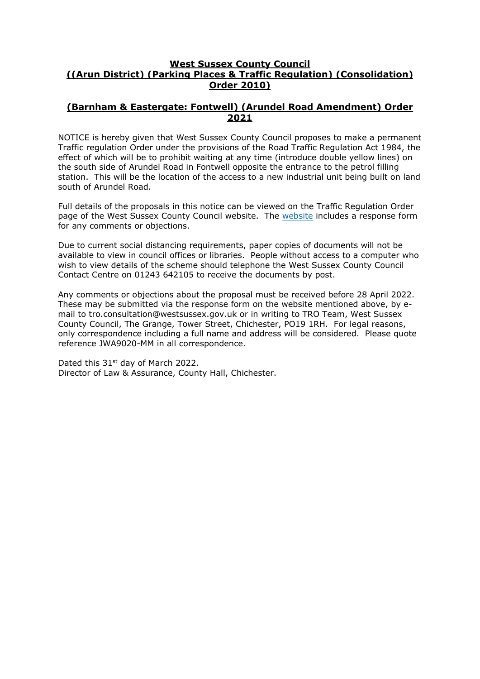#### **West Sussex County Council ((Arun District) (Parking Places & Traffic Regulation) (Consolidation) Order 2010)**

#### **(Barnham & Eastergate: Fontwell) (Arundel Road Amendment) Order 2021**

NOTICE is hereby given that West Sussex County Council proposes to make a permanent Traffic regulation Order under the provisions of the Road Traffic Regulation Act 1984, the effect of which will be to prohibit waiting at any time (introduce double yellow lines) on the south side of Arundel Road in Fontwell opposite the entrance to the petrol filling station. This will be the location of the access to a new industrial unit being built on land south of Arundel Road.

Full details of the proposals in this notice can be viewed on the Traffic Regulation Order page of the West Sussex County Council website. The [website](https://www.westsussex.gov.uk/roads-and-travel/traffic-regulation-orders/) includes a response form for any comments or objections.

Due to current social distancing requirements, paper copies of documents will not be available to view in council offices or libraries. People without access to a computer who wish to view details of the scheme should telephone the West Sussex County Council Contact Centre on 01243 642105 to receive the documents by post.

Any comments or objections about the proposal must be received before 28 April 2022. These may be submitted via the response form on the website mentioned above, by email to tro.consultation@westsussex.gov.uk or in writing to TRO Team, West Sussex County Council, The Grange, Tower Street, Chichester, PO19 1RH. For legal reasons, only correspondence including a full name and address will be considered. Please quote reference JWA9020-MM in all correspondence.

Dated this 31<sup>st</sup> day of March 2022. Director of Law & Assurance, County Hall, Chichester.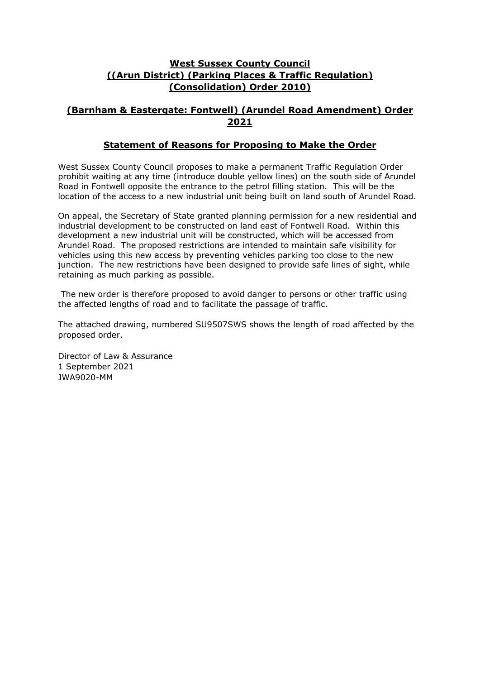### **West Sussex County Council ((Arun District) (Parking Places & Traffic Regulation) (Consolidation) Order 2010)**

## **(Barnham & Eastergate: Fontwell) (Arundel Road Amendment) Order 2021**

#### **Statement of Reasons for Proposing to Make the Order**

West Sussex County Council proposes to make a permanent Traffic Regulation Order prohibit waiting at any time (introduce double yellow lines) on the south side of Arundel Road in Fontwell opposite the entrance to the petrol filling station. This will be the location of the access to a new industrial unit being built on land south of Arundel Road.

On appeal, the Secretary of State granted planning permission for a new residential and industrial development to be constructed on land east of Fontwell Road. Within this development a new industrial unit will be constructed, which will be accessed from Arundel Road. The proposed restrictions are intended to maintain safe visibility for vehicles using this new access by preventing vehicles parking too close to the new junction. The new restrictions have been designed to provide safe lines of sight, while retaining as much parking as possible.

The new order is therefore proposed to avoid danger to persons or other traffic using the affected lengths of road and to facilitate the passage of traffic.

The attached drawing, numbered SU9507SWS shows the length of road affected by the proposed order.

Director of Law & Assurance 1 September 2021 JWA9020-MM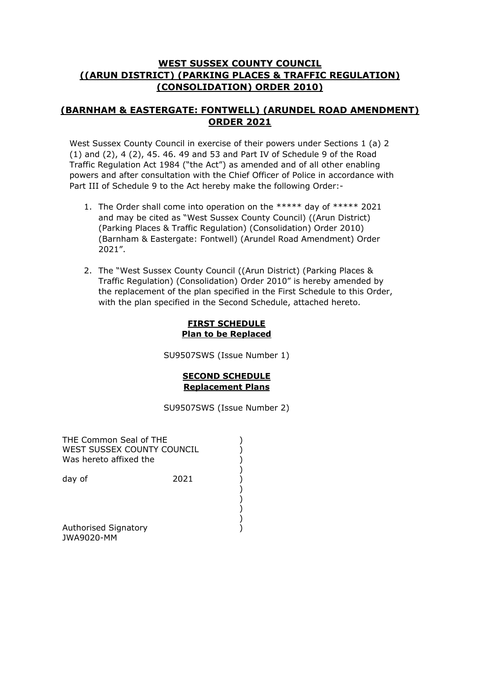### **WEST SUSSEX COUNTY COUNCIL ((ARUN DISTRICT) (PARKING PLACES & TRAFFIC REGULATION) (CONSOLIDATION) ORDER 2010)**

## **(BARNHAM & EASTERGATE: FONTWELL) (ARUNDEL ROAD AMENDMENT) ORDER 2021**

West Sussex County Council in exercise of their powers under Sections 1 (a) 2 (1) and (2), 4 (2), 45. 46. 49 and 53 and Part IV of Schedule 9 of the Road Traffic Regulation Act 1984 ("the Act") as amended and of all other enabling powers and after consultation with the Chief Officer of Police in accordance with Part III of Schedule 9 to the Act hereby make the following Order:-

- 1. The Order shall come into operation on the \*\*\*\*\* day of \*\*\*\*\* 2021 and may be cited as "West Sussex County Council) ((Arun District) (Parking Places & Traffic Regulation) (Consolidation) Order 2010) (Barnham & Eastergate: Fontwell) (Arundel Road Amendment) Order 2021".
- 2. The "West Sussex County Council ((Arun District) (Parking Places & Traffic Regulation) (Consolidation) Order 2010" is hereby amended by the replacement of the plan specified in the First Schedule to this Order, with the plan specified in the Second Schedule, attached hereto.

#### **FIRST SCHEDULE Plan to be Replaced**

SU9507SWS (Issue Number 1)

### **SECOND SCHEDULE Replacement Plans**

SU9507SWS (Issue Number 2)

| THE Common Seal of THE<br>WEST SUSSEX COUNTY COUNCIL<br>Was hereto affixed the |      |  |
|--------------------------------------------------------------------------------|------|--|
| day of                                                                         | 2021 |  |
| Authorised Signatory<br><b>JWA9020-MM</b>                                      |      |  |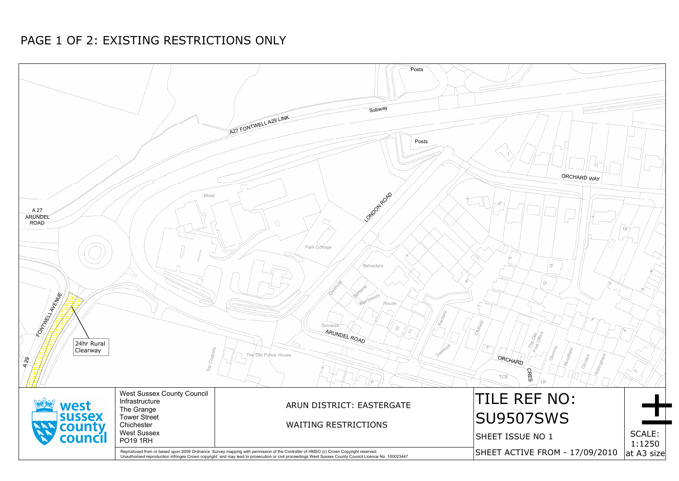

# PAGE 1 OF 2: EXISTING RESTRICTIONS ONLY